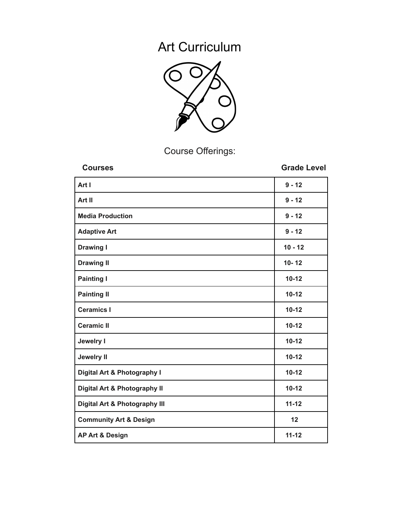# Art Curriculum



Course Offerings:

| <b>Courses</b>                           | <b>Grade Level</b> |
|------------------------------------------|--------------------|
| Art I                                    | $9 - 12$           |
| Art II                                   | $9 - 12$           |
| <b>Media Production</b>                  | $9 - 12$           |
| <b>Adaptive Art</b>                      | $9 - 12$           |
| <b>Drawing I</b>                         | $10 - 12$          |
| <b>Drawing II</b>                        | $10 - 12$          |
| <b>Painting I</b>                        | $10 - 12$          |
| <b>Painting II</b>                       | $10 - 12$          |
| <b>Ceramics I</b>                        | $10 - 12$          |
| <b>Ceramic II</b>                        | $10 - 12$          |
| <b>Jewelry I</b>                         | $10 - 12$          |
| <b>Jewelry II</b>                        | $10 - 12$          |
| Digital Art & Photography I              | $10 - 12$          |
| Digital Art & Photography II             | $10 - 12$          |
| <b>Digital Art &amp; Photography III</b> | $11 - 12$          |
| <b>Community Art &amp; Design</b>        | 12                 |
| <b>AP Art &amp; Design</b>               | $11 - 12$          |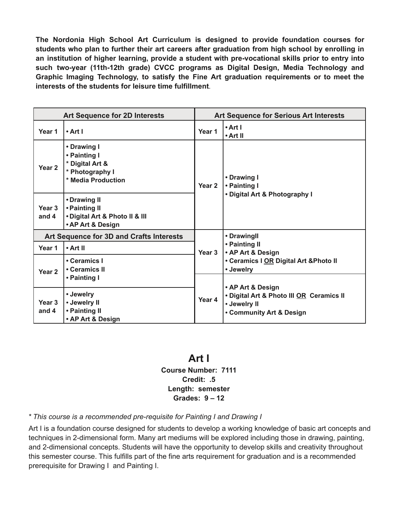**The Nordonia High School Art Curriculum is designed to provide foundation courses for students who plan to further their art careers after graduation from high school by enrolling in an institution of higher learning, provide a student with pre-vocational skills prior to entry into such two-year (11th-12th grade) CVCC programs as Digital Design, Media Technology and Graphic Imaging Technology, to satisfy the Fine Art graduation requirements or to meet the interests of the students for leisure time fulfillment**.

|                                          | <b>Art Sequence for 2D Interests</b>                                                    |                   | <b>Art Sequence for Serious Art Interests</b>                                                             |
|------------------------------------------|-----------------------------------------------------------------------------------------|-------------------|-----------------------------------------------------------------------------------------------------------|
| Year 1                                   | $\cdot$ Art I                                                                           | Year 1            | • Art I<br>• Art II                                                                                       |
| Year <sub>2</sub>                        | • Drawing I<br>• Painting I<br>* Digital Art &<br>* Photography I<br>* Media Production | Year <sub>2</sub> | • Drawing I<br>• Painting I<br>• Digital Art & Photography I                                              |
| Year <sub>3</sub><br>and 4               | • Drawing II<br>• Painting II<br>. Digital Art & Photo II & III<br>• AP Art & Design    |                   |                                                                                                           |
| Art Sequence for 3D and Crafts Interests |                                                                                         |                   | • Drawingll                                                                                               |
| Year 1                                   | • Art II                                                                                | Year 3            | • Painting II<br>• AP Art & Design                                                                        |
| Year <sub>2</sub>                        | • Ceramics I<br>• Ceramics II                                                           |                   | • Ceramics I OR Digital Art & Photo II<br>• Jewelry                                                       |
|                                          | • Painting I                                                                            |                   |                                                                                                           |
| Year 3<br>and 4                          | • Jewelry<br>• Jewelry II<br>• Painting II<br>• AP Art & Design                         | Year <sub>4</sub> | • AP Art & Design<br>· Digital Art & Photo III OR Ceramics II<br>• Jewelry II<br>• Community Art & Design |

#### **Art I Course Number: 7111 Credit: .5 Length: semester Grades: 9 – 12**

*\* This course is a recommended pre-requisite for Painting I and Drawing I*

Art I is a foundation course designed for students to develop a working knowledge of basic art concepts and techniques in 2-dimensional form. Many art mediums will be explored including those in drawing, painting, and 2-dimensional concepts. Students will have the opportunity to develop skills and creativity throughout this semester course. This fulfills part of the fine arts requirement for graduation and is a recommended prerequisite for Drawing I and Painting I.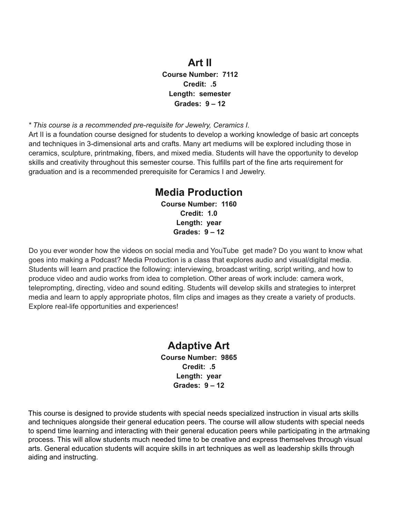#### **Art II**

**Course Number: 7112 Credit: .5 Length: semester Grades: 9 – 12**

*\* This course is a recommended pre-requisite for Jewelry, Ceramics I.*

Art II is a foundation course designed for students to develop a working knowledge of basic art concepts and techniques in 3-dimensional arts and crafts. Many art mediums will be explored including those in ceramics, sculpture, printmaking, fibers, and mixed media. Students will have the opportunity to develop skills and creativity throughout this semester course. This fulfills part of the fine arts requirement for graduation and is a recommended prerequisite for Ceramics I and Jewelry.

#### **Media Production**

**Course Number: 1160 Credit: 1.0 Length: year Grades: 9 – 12**

Do you ever wonder how the videos on social media and YouTube get made? Do you want to know what goes into making a Podcast? Media Production is a class that explores audio and visual/digital media. Students will learn and practice the following: interviewing, broadcast writing, script writing, and how to produce video and audio works from idea to completion. Other areas of work include: camera work, teleprompting, directing, video and sound editing. Students will develop skills and strategies to interpret media and learn to apply appropriate photos, film clips and images as they create a variety of products. Explore real-life opportunities and experiences!

#### **Adaptive Art Course Number: 9865 Credit: .5 Length: year Grades: 9 – 12**

This course is designed to provide students with special needs specialized instruction in visual arts skills and techniques alongside their general education peers. The course will allow students with special needs to spend time learning and interacting with their general education peers while participating in the artmaking process. This will allow students much needed time to be creative and express themselves through visual arts. General education students will acquire skills in art techniques as well as leadership skills through aiding and instructing.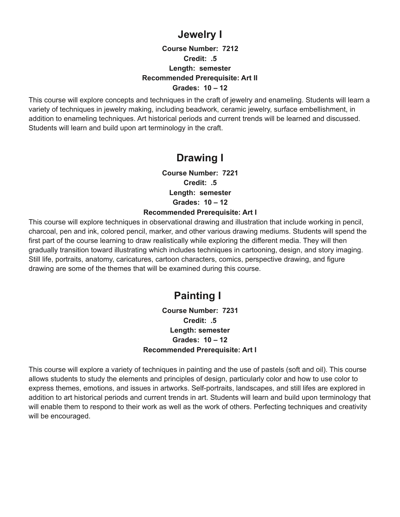### **Jewelry I**

#### **Course Number: 7212 Credit: .5 Length: semester Recommended Prerequisite: Art II Grades: 10 – 12**

This course will explore concepts and techniques in the craft of jewelry and enameling. Students will learn a variety of techniques in jewelry making, including beadwork, ceramic jewelry, surface embellishment, in addition to enameling techniques. Art historical periods and current trends will be learned and discussed. Students will learn and build upon art terminology in the craft.

# **Drawing I**

**Course Number: 7221 Credit: .5 Length: semester Grades: 10 – 12 Recommended Prerequisite: Art I**

This course will explore techniques in observational drawing and illustration that include working in pencil, charcoal, pen and ink, colored pencil, marker, and other various drawing mediums. Students will spend the first part of the course learning to draw realistically while exploring the different media. They will then gradually transition toward illustrating which includes techniques in cartooning, design, and story imaging. Still life, portraits, anatomy, caricatures, cartoon characters, comics, perspective drawing, and figure drawing are some of the themes that will be examined during this course.

# **Painting I**

**Course Number: 7231 Credit: .5 Length: semester Grades: 10 – 12 Recommended Prerequisite: Art I**

This course will explore a variety of techniques in painting and the use of pastels (soft and oil). This course allows students to study the elements and principles of design, particularly color and how to use color to express themes, emotions, and issues in artworks. Self-portraits, landscapes, and still lifes are explored in addition to art historical periods and current trends in art. Students will learn and build upon terminology that will enable them to respond to their work as well as the work of others. Perfecting techniques and creativity will be encouraged.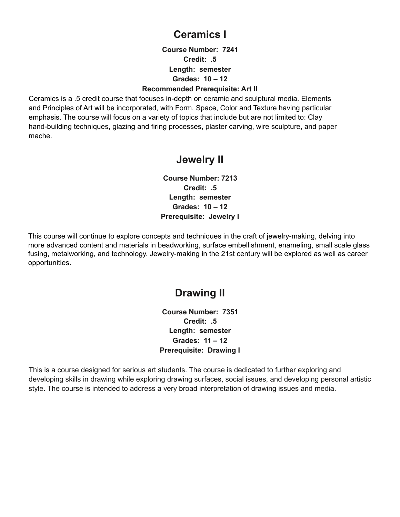### **Ceramics I**

**Course Number: 7241 Credit: .5 Length: semester Grades: 10 – 12**

#### **Recommended Prerequisite: Art II**

Ceramics is a .5 credit course that focuses in-depth on ceramic and sculptural media. Elements and Principles of Art will be incorporated, with Form, Space, Color and Texture having particular emphasis. The course will focus on a variety of topics that include but are not limited to: Clay hand-building techniques, glazing and firing processes, plaster carving, wire sculpture, and paper mache.

#### **Jewelry II**

**Course Number: 7213 Credit: .5 Length: semester Grades: 10 – 12 Prerequisite: Jewelry I**

This course will continue to explore concepts and techniques in the craft of jewelry-making, delving into more advanced content and materials in beadworking, surface embellishment, enameling, small scale glass fusing, metalworking, and technology. Jewelry-making in the 21st century will be explored as well as career opportunities.

### **Drawing II**

**Course Number: 7351 Credit: .5 Length: semester Grades: 11 – 12 Prerequisite: Drawing I**

This is a course designed for serious art students. The course is dedicated to further exploring and developing skills in drawing while exploring drawing surfaces, social issues, and developing personal artistic style. The course is intended to address a very broad interpretation of drawing issues and media.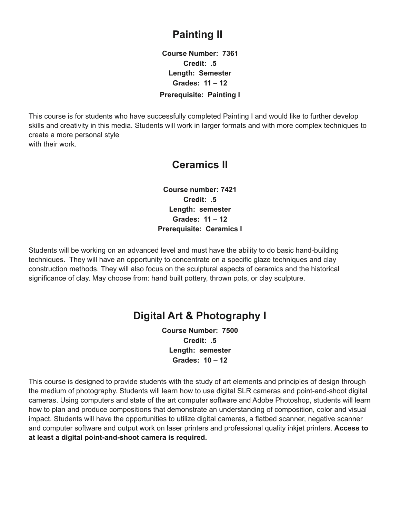## **Painting II**

**Course Number: 7361 Credit: .5 Length: Semester Grades: 11 – 12**

#### **Prerequisite: Painting I**

This course is for students who have successfully completed Painting I and would like to further develop skills and creativity in this media. Students will work in larger formats and with more complex techniques to create a more personal style with their work.

### **Ceramics II**

**Course number: 7421 Credit: .5 Length: semester Grades: 11 – 12 Prerequisite: Ceramics I**

Students will be working on an advanced level and must have the ability to do basic hand-building techniques. They will have an opportunity to concentrate on a specific glaze techniques and clay construction methods. They will also focus on the sculptural aspects of ceramics and the historical significance of clay. May choose from: hand built pottery, thrown pots, or clay sculpture.

### **Digital Art & Photography I**

**Course Number: 7500 Credit: .5 Length: semester Grades: 10 – 12**

This course is designed to provide students with the study of art elements and principles of design through the medium of photography. Students will learn how to use digital SLR cameras and point-and-shoot digital cameras. Using computers and state of the art computer software and Adobe Photoshop, students will learn how to plan and produce compositions that demonstrate an understanding of composition, color and visual impact. Students will have the opportunities to utilize digital cameras, a flatbed scanner, negative scanner and computer software and output work on laser printers and professional quality inkjet printers. **Access to at least a digital point-and-shoot camera is required.**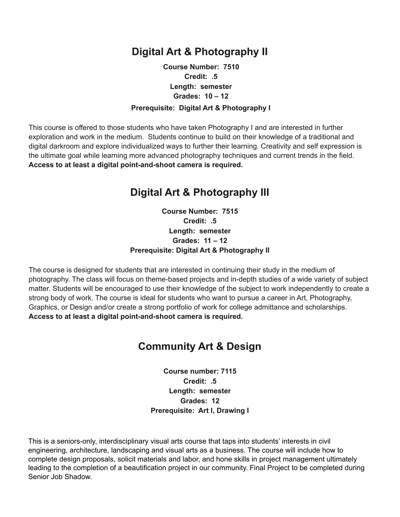### **Digital Art & Photography II**

#### **Course Number: 7510 Credit: .5 Length: semester Grades: 10 – 12 Prerequisite: Digital Art & Photography I**

This course is offered to those students who have taken Photography I and are interested in further exploration and work in the medium. Students continue to build on their knowledge of a traditional and digital darkroom and explore individualized ways to further their learning. Creativity and self expression is the ultimate goal while learning more advanced photography techniques and current trends in the field. **Access to at least a digital point-and-shoot camera is required.**

### **Digital Art & Photography III**

**Course Number: 7515 Credit: .5 Length: semester Grades: 11 – 12 Prerequisite: Digital Art & Photography II**

The course is designed for students that are interested in continuing their study in the medium of photography. The class will focus on theme-based projects and in-depth studies of a wide variety of subject matter. Students will be encouraged to use their knowledge of the subject to work independently to create a strong body of work. The course is ideal for students who want to pursue a career in Art, Photography, Graphics, or Design and/or create a strong portfolio of work for college admittance and scholarships. **Access to at least a digital point-and-shoot camera is required.**

### **Community Art & Design**

**Course number: 7115 Credit: .5 Length: semester Grades: 12 Prerequisite: Art I, Drawing I**

This is a seniors-only, interdisciplinary visual arts course that taps into students' interests in civil engineering, architecture, landscaping and visual arts as a business. The course will include how to complete design proposals, solicit materials and labor, and hone skills in project management ultimately leading to the completion of a beautification project in our community. Final Project to be completed during Senior Job Shadow.